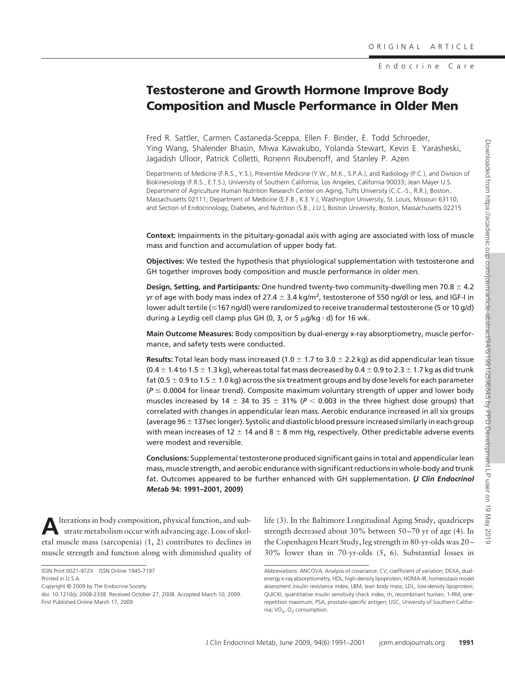Endocrine Care

# **Testosterone and Growth Hormone Improve Body Composition and Muscle Performance in Older Men**

Fred R. Sattler, Carmen Castaneda-Sceppa, Ellen F. Binder, E. Todd Schroeder, Ying Wang, Shalender Bhasin, Miwa Kawakubo, Yolanda Stewart, Kevin E. Yarasheski, Jagadish Ulloor, Patrick Colletti, Ronenn Roubenoff, and Stanley P. Azen

Departments of Medicine (F.R.S., Y.S.), Preventive Medicine (Y.W., M.K., S.P.A.), and Radiology (P.C.), and Division of Biokinesiology (F.R.S., E.T.S.), University of Southern California, Los Angeles, California 90033; Jean Mayer U.S. Department of Agriculture Human Nutrition Research Center on Aging, Tufts University (C.C.-S., R.R.), Boston, Massachusetts 02111; Department of Medicine (E.F.B., K.E.Y.), Washington University, St. Louis, Missouri 63110; and Section of Endocrinology, Diabetes, and Nutrition (S.B., J.U.), Boston University, Boston, Massachusetts 02215

**Context:** Impairments in the pituitary-gonadal axis with aging are associated with loss of muscle mass and function and accumulation of upper body fat.

**Objectives:** We tested the hypothesis that physiological supplementation with testosterone and GH together improves body composition and muscle performance in older men.

**Design, Setting, and Participants:** One hundred twenty-two community-dwelling men 70.8  $\pm$  4.2 yr of age with body mass index of 27.4  $\pm$  3.4 kg/m<sup>2</sup>, testosterone of 550 ng/dl or less, and IGF-I in lower adult tertile (167 ng/dl) were randomized to receive transdermal testosterone (5 or 10 g/d) during a Leydig cell clamp plus GH (0, 3, or 5  $\mu$ g/kg  $\cdot$  d) for 16 wk.

**Main Outcome Measures:** Body composition by dual-energy x-ray absorptiometry, muscle performance, and safety tests were conducted.

**Results:** Total lean body mass increased (1.0  $\pm$  1.7 to 3.0  $\pm$  2.2 kg) as did appendicular lean tissue (0.4  $\pm$  1.4 to 1.5  $\pm$  1.3 kg), whereas total fat mass decreased by 0.4  $\pm$  0.9 to 2.3  $\pm$  1.7 kg as did trunk fat (0.5  $\pm$  0.9 to 1.5  $\pm$  1.0 kg) across the six treatment groups and by dose levels for each parameter  $(P \le 0.0004$  for linear trend). Composite maximum voluntary strength of upper and lower body muscles increased by 14  $\pm$  34 to 35  $\pm$  31% ( $P$   $<$  0.003 in the three highest dose groups) that correlated with changes in appendicular lean mass. Aerobic endurance increased in all six groups (average 96  $\pm$  137sec longer). Systolic and diastolic blood pressure increased similarly in each group with mean increases of 12  $\pm$  14 and 8  $\pm$  8 mm Hg, respectively. Other predictable adverse events were modest and reversible.

**Conclusions:** Supplemental testosterone produced significant gains in total and appendicular lean mass, muscle strength, and aerobic endurance with significant reductions in whole-body and trunk fat. Outcomes appeared to be further enhanced with GH supplementation. **(***J Clin Endocrinol Metab* **94: 1991–2001, 2009)**

**A**lterations in body composition, physical function, and substrate metabolism occur with advancing age. Loss of skeletal muscle mass (sarcopenia) (1, 2) contributes to declines in muscle strength and function along with diminished quality of

Copyright © 2009 by The Endocrine Society

doi: 10.1210/jc.2008-2338 Received October 27, 2008. Accepted March 10, 2009. First Published Online March 17, 2009

life (3). In the Baltimore Longitudinal Aging Study, quadriceps strength decreased about 30% between 50 –70 yr of age (4). In the Copenhagen Heart Study, leg strength in 80-yr-olds was 20 – 30% lower than in 70-yr-olds (5, 6). Substantial losses in

ISSN Print 0021-972X ISSN Online 1945-7197 Printed in U.S.A.

Abbreviations: ANCOVA, Analysis of covariance; CV, coefficient of variation; DEXA, dualenergy x-ray absorptiometry; HDL, high-density lipoprotein; HOMA-IR, homeostasis model assessment insulin resistance index; LBM, lean body mass; LDL, low-density lipoprotein; QUICKI, quantitative insulin sensitivity check index; rh, recombinant human; 1-RM, onerepetition maximum; PSA, prostate-specific antigen; USC, University of Southern California; VO<sub>2</sub>, O<sub>2</sub> consumption.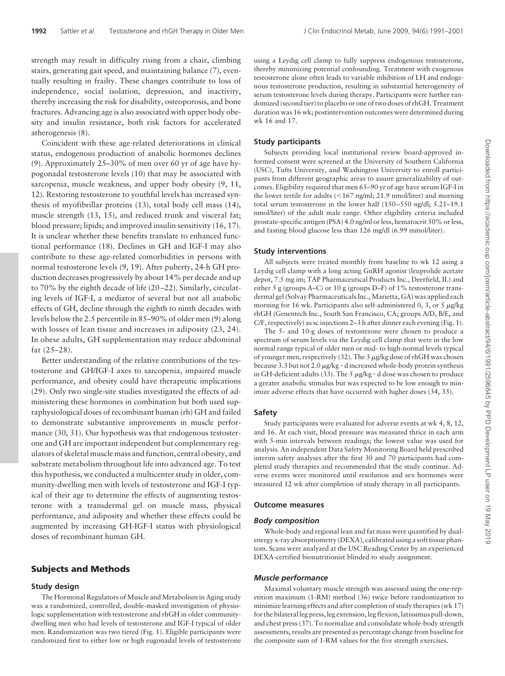strength may result in difficulty rising from a chair, climbing stairs, generating gait speed, and maintaining balance (7), eventually resulting in frailty. These changes contribute to loss of independence, social isolation, depression, and inactivity, thereby increasing the risk for disability, osteoporosis, and bone fractures. Advancing age is also associated with upper body obesity and insulin resistance, both risk factors for accelerated atherogenesis (8).

Coincident with these age-related deteriorations in clinical status, endogenous production of anabolic hormones declines (9). Approximately 25–30% of men over 60 yr of age have hypogonadal testosterone levels (10) that may be associated with sarcopenia, muscle weakness, and upper body obesity (9, 11, 12). Restoring testosterone to youthful levels has increased synthesis of myofibrillar proteins (13), total body cell mass (14), muscle strength (13, 15), and reduced trunk and visceral fat; blood pressure; lipids; and improved insulin sensitivity (16, 17). It is unclear whether these benefits translate to enhanced functional performance (18). Declines in GH and IGF-I may also contribute to these age-related comorbidities in persons with normal testosterone levels (9, 19). After puberty, 24-h GH production decreases progressively by about 14% per decade and up to 70% by the eighth decade of life (20 –22). Similarly, circulating levels of IGF-I, a mediator of several but not all anabolic effects of GH, decline through the eighth to ninth decades with levels below the 2.5 percentile in 85–90% of older men (9) along with losses of lean tissue and increases in adiposity (23, 24). In obese adults, GH supplementation may reduce abdominal fat (25–28).

Better understanding of the relative contributions of the testosterone and GH/IGF-I axes to sarcopenia, impaired muscle performance, and obesity could have therapeutic implications (29). Only two single-site studies investigated the effects of administering these hormones in combination but both used supraphysiological doses of recombinant human (rh) GH and failed to demonstrate substantive improvements in muscle performance (30, 31). Our hypothesis was that endogenous testosterone and GH are important independent but complementary regulators of skeletal muscle mass and function, central obesity, and substrate metabolism throughout life into advanced age. To test this hypothesis, we conducted a multicenter study in older, community-dwelling men with levels of testosterone and IGF-I typical of their age to determine the effects of augmenting testosterone with a transdermal gel on muscle mass, physical performance, and adiposity and whether these effects could be augmented by increasing GH-IGF-I status with physiological doses of recombinant human GH.

### **Subjects and Methods**

### **Study design**

The Hormonal Regulators of Muscle and Metabolism in Aging study was a randomized, controlled, double-masked investigation of physiologic supplementation with testosterone and rhGH in older communitydwelling men who had levels of testosterone and IGF-I typical of older men. Randomization was two tiered (Fig. 1). Eligible participants were randomized first to either low or high eugonadal levels of testosterone

using a Leydig cell clamp to fully suppress endogenous testosterone, thereby minimizing potential confounding. Treatment with exogenous testosterone alone often leads to variable inhibition of LH and endogenous testosterone production, resulting in substantial heterogeneity of serum testosterone levels during therapy. Participants were further randomized (second tier) to placebo or one of two doses of rhGH. Treatment duration was 16 wk; postintervention outcomes were determined during wk 16 and 17.

### **Study participants**

Subjects providing local institutional review board-approved informed consent were screened at the University of Southern California (USC), Tufts University, and Washington University to enroll participants from different geographic areas to assure generalizability of outcomes. Eligibility required that men 65–90 yr of age have serum IGF-I in the lower tertile for adults (<167 ng/ml; 21.9 nmol/liter) and morning total serum testosterone in the lower half (150 –550 ng/dl; 5.21–19.1 nmol/liter) of the adult male range. Other eligibility criteria included prostate-specific antigen (PSA) 4.0 ng/ml or less, hematocrit 50% or less, and fasting blood glucose less than 126 mg/dl (6.99 mmol/liter).

### **Study interventions**

All subjects were treated monthly from baseline to wk 12 using a Leydig cell clamp with a long acting GnRH agonist (leuprolide acetate depot, 7.5 mg im; TAP Pharmaceutical Products Inc., Deerfield, IL) and either 5 g (groups A–C) or 10 g (groups D–F) of 1% testosterone transdermal gel (Solvay Pharmaceuticals Inc., Marietta, GA) was applied each morning for 16 wk. Participants also self-administered 0, 3, or 5  $\mu$ g/kg rhGH (Genentech Inc., South San Francisco, CA; groups A/D, B/E, and C/F, respectively) as sc injections 2–3 h after dinner each evening (Fig. 1).

The 5- and 10-g doses of testosterone were chosen to produce a spectrum of serum levels via the Leydig cell clamp that were in the low normal range typical of older men or mid- to high-normal levels typical of younger men, respectively (32). The 3  $\mu$ g/kg dose of rhGH was chosen because 3.3 but not 2.0  $\mu$ g/kg · d increased whole-body protein synthesis in GH-deficient adults (33). The 5  $\mu$ g/kg  $\cdot$  d dose was chosen to produce a greater anabolic stimulus but was expected to be low enough to minimize adverse effects that have occurred with higher doses (34, 35).

### **Safety**

Study participants were evaluated for adverse events at wk 4, 8, 12, and 16. At each visit, blood pressure was measured thrice in each arm with 5-min intervals between readings; the lowest value was used for analysis. An independent Data Safety Monitoring Board held prescribed interim safety analyses after the first 30 and 70 participants had completed study therapies and recommended that the study continue. Adverse events were monitored until resolution and sex hormones were measured 12 wk after completion of study therapy in all participants.

### **Outcome measures**

### *Body composition*

Whole-body and regional lean and fat mass were quantified by dualenergy x-ray absorptiometry (DEXA), calibrated using a soft tissue phantom. Scans were analyzed at the USC Reading Center by an experienced DEXA-certified bionutritionist blinded to study assignment.

### *Muscle performance*

Maximal voluntary muscle strength was assessed using the one-repetition maximum (1-RM) method (36) twice before randomization to minimize learning effects and after completion of study therapies (wk 17) for the bilateral leg press, leg extension, leg flexion, latissimus pull-down, and chest press (37). To normalize and consolidate whole-body strength assessments, results are presented as percentage change from baseline for the composite sum of 1-RM values for the five strength exercises.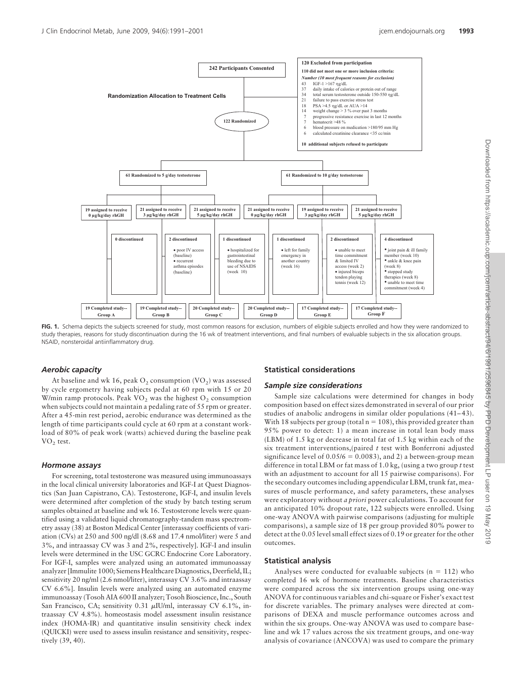

FIG. 1. Schema depicts the subjects screened for study, most common reasons for exclusion, numbers of eligible subjects enrolled and how they were randomized to study therapies, reasons for study discontinuation during the 16 wk of treatment interventions, and final numbers of evaluable subjects in the six allocation groups. NSAID, nonsteroidal antiinflammatory drug.

### *Aerobic capacity*

At baseline and wk 16, peak  $O_2$  consumption (VO<sub>2</sub>) was assessed by cycle ergometry having subjects pedal at 60 rpm with 15 or 20 W/min ramp protocols. Peak  $VO<sub>2</sub>$  was the highest  $O<sub>2</sub>$  consumption when subjects could not maintain a pedaling rate of 55 rpm or greater. After a 45-min rest period, aerobic endurance was determined as the length of time participants could cycle at 60 rpm at a constant workload of 80% of peak work (watts) achieved during the baseline peak  $VO<sub>2</sub>$  test.

### *Hormone assays*

For screening, total testosterone was measured using immunoassays in the local clinical university laboratories and IGF-I at Quest Diagnostics (San Juan Capistrano, CA). Testosterone, IGF-I, and insulin levels were determined after completion of the study by batch testing serum samples obtained at baseline and wk 16. Testosterone levels were quantified using a validated liquid chromatography-tandem mass spectrometry assay (38) at Boston Medical Center [interassay coefficients of variation (CVs) at 250 and 500 ng/dl (8.68 and 17.4 nmol/liter) were 5 and 3%, and intraassay CV was 3 and 2%, respectively]. IGF-I and insulin levels were determined in the USC GCRC Endocrine Core Laboratory. For IGF-I, samples were analyzed using an automated immunoassay analyzer [Immulite 1000; Siemens Healthcare Diagnostics, Deerfield, IL; sensitivity 20 ng/ml (2.6 nmol/liter), interassay CV 3.6% and intraassay CV 6.6%]. Insulin levels were analyzed using an automated enzyme immunoassay (Tosoh AIA 600 II analyzer; Tosoh Bioscience, Inc., South San Francisco, CA; sensitivity 0.31 µIU/ml, interassay CV 6.1%, intraassay CV 4.8%). homeostasis model assessment insulin resistance index (HOMA-IR) and quantitative insulin sensitivity check index (QUICKI) were used to assess insulin resistance and sensitivity, respectively (39, 40).

## **Statistical considerations**

### *Sample size considerations*

Sample size calculations were determined for changes in body composition based on effect sizes demonstrated in several of our prior studies of anabolic androgens in similar older populations (41–43). With 18 subjects per group (total  $n = 108$ ), this provided greater than 95% power to detect: 1) a mean increase in total lean body mass (LBM) of 1.5 kg or decrease in total fat of 1.5 kg within each of the six treatment interventions,(paired *t* test with Bonferroni adjusted significance level of  $0.05/6 = 0.0083$ , and 2) a between-group mean difference in total LBM or fat mass of 1.0 kg, (using a two group *t* test with an adjustment to account for all 15 pairwise comparisons). For the secondary outcomes including appendicular LBM, trunk fat, measures of muscle performance, and safety parameters, these analyses were exploratory without *a priori* power calculations. To account for an anticipated 10% dropout rate, 122 subjects were enrolled. Using one-way ANOVA with pairwise comparisons (adjusting for multiple comparisons), a sample size of 18 per group provided 80% power to detect at the 0.05 level small effect sizes of 0.19 or greater for the other outcomes.

### **Statistical analysis**

Analyses were conducted for evaluable subjects ( $n = 112$ ) who completed 16 wk of hormone treatments. Baseline characteristics were compared across the six intervention groups using one-way ANOVA for continuous variables and chi-square or Fisher's exact test for discrete variables. The primary analyses were directed at comparisons of DEXA and muscle performance outcomes across and within the six groups. One-way ANOVA was used to compare baseline and wk 17 values across the six treatment groups, and one-way analysis of covariance (ANCOVA) was used to compare the primary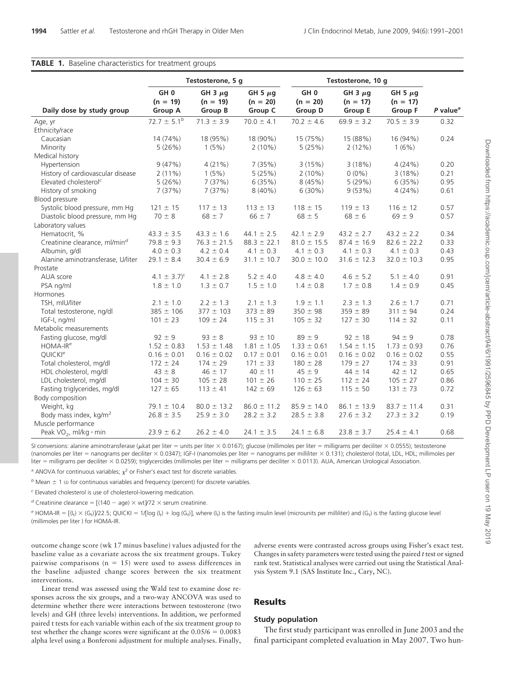#### **TABLE 1.** Baseline characteristics for treatment groups

|                                           |                               | Testosterone, 5 g          |                            |                               | Testosterone, 10 g         |                            |                        |  |
|-------------------------------------------|-------------------------------|----------------------------|----------------------------|-------------------------------|----------------------------|----------------------------|------------------------|--|
|                                           | GH <sub>0</sub><br>$(n = 19)$ | GH $3 \mu q$<br>$(n = 19)$ | GH 5 $\mu$ g<br>$(n = 20)$ | GH <sub>0</sub><br>$(n = 20)$ | GH 3 $\mu$ g<br>$(n = 17)$ | GH 5 $\mu$ g<br>$(n = 17)$ |                        |  |
| Daily dose by study group                 | <b>Group A</b>                | Group B                    | Group C                    | <b>Group D</b>                | <b>Group E</b>             | <b>Group F</b>             | $P$ value <sup>a</sup> |  |
| Age, yr                                   | $72.7 \pm 5.1^{b}$            | $71.3 \pm 3.9$             | $70.0 \pm 4.1$             | $70.2 \pm 4.6$                | $69.9 \pm 3.2$             | $70.5 \pm 3.9$             | 0.32                   |  |
| Ethnicity/race                            |                               |                            |                            |                               |                            |                            |                        |  |
| Caucasian                                 | 14 (74%)                      | 18 (95%)                   | 18 (90%)                   | 15 (75%)                      | 15 (88%)                   | 16 (94%)                   | 0.24                   |  |
| Minority                                  | 5(26%)                        | 1(5%)                      | $2(10\%)$                  | 5(25%)                        | 2(12%)                     | 1(6%)                      |                        |  |
| Medical history                           |                               |                            |                            |                               |                            |                            |                        |  |
| Hypertension                              | 9(47%)                        | 4(21%)                     | 7(35%)                     | 3(15%)                        | 3(18%)                     | 4(24%)                     | 0.20                   |  |
| History of cardiovascular disease         | $2(11\%)$                     | 1(5%)                      | 5(25%)                     | $2(10\%)$                     | $0(0\%)$                   | 3(18%)                     | 0.21                   |  |
| Elevated cholesterol <sup>c</sup>         | 5(26%)                        | 7(37%)                     | 6(35%)                     | 8(45%)                        | 5(29%)                     | 6(35%)                     | 0.95                   |  |
| History of smoking                        | 7(37%)                        | 7(37%)                     | $8(40\%)$                  | 6(30%)                        | 9(53%)                     | 4(24%)                     | 0.61                   |  |
| Blood pressure                            |                               |                            |                            |                               |                            |                            |                        |  |
| Systolic blood pressure, mm Hg            | $121 \pm 15$                  | $117 \pm 13$               | $113 \pm 13$               | $118 \pm 15$                  | $119 \pm 13$               | $116 \pm 12$               | 0.57                   |  |
| Diastolic blood pressure, mm Hg           | $70 \pm 8$                    | $68 \pm 7$                 | $66 \pm 7$                 | $68 \pm 5$                    | $68 \pm 6$                 | $69 \pm 9$                 | 0.57                   |  |
| Laboratory values                         |                               |                            |                            |                               |                            |                            |                        |  |
| Hematocrit. %                             | $43.3 \pm 3.5$                | $43.3 \pm 1.6$             | $44.1 \pm 2.5$             | $42.1 \pm 2.9$                | $43.2 \pm 2.7$             | $43.2 \pm 2.2$             | 0.34                   |  |
| Creatinine clearance, ml/min <sup>d</sup> | $79.8 \pm 9.3$                | $76.3 \pm 21.5$            | $88.3 \pm 22.1$            | $81.0 \pm 15.5$               | $87.4 \pm 16.9$            | $82.6 \pm 22.2$            | 0.33                   |  |
| Albumin, g/dl                             | $4.0 \pm 0.3$                 | $4.2 \pm 0.4$              | $4.1 \pm 0.3$              | $4.1 \pm 0.3$                 | $4.1 \pm 0.3$              | $4.1 \pm 0.3$              | 0.43                   |  |
| Alanine aminotransferase, U/liter         | $29.1 \pm 8.4$                | $30.4 \pm 6.9$             | $31.1 \pm 10.7$            | $30.0 \pm 10.0$               | $31.6 \pm 12.3$            | $32.0 \pm 10.3$            | 0.95                   |  |
| Prostate                                  |                               |                            |                            |                               |                            |                            |                        |  |
| AUA score                                 | $4.1 \pm 3.7$ <sup>c</sup>    | $4.1 \pm 2.8$              | $5.2 \pm 4.0$              | $4.8 \pm 4.0$                 | $4.6 \pm 5.2$              | $5.1 \pm 4.0$              | 0.91                   |  |
| PSA ng/ml                                 | $1.8 \pm 1.0$                 | $1.3 \pm 0.7$              | $1.5 \pm 1.0$              | $1.4 \pm 0.8$                 | $1.7 \pm 0.8$              | $1.4 \pm 0.9$              | 0.45                   |  |
| Hormones                                  |                               |                            |                            |                               |                            |                            |                        |  |
| TSH, mIU/liter                            | $2.1 \pm 1.0$                 | $2.2 \pm 1.3$              | $2.1 \pm 1.3$              | $1.9 \pm 1.1$                 | $2.3 \pm 1.3$              | $2.6 \pm 1.7$              | 0.71                   |  |
| Total testosterone, ng/dl                 | $385 \pm 106$                 | $377 \pm 103$              | $373 \pm 89$               | $350 \pm 98$                  | $359 \pm 89$               | $311 \pm 94$               | 0.24                   |  |
| IGF-I, ng/ml                              | $101 \pm 23$                  | $109 \pm 24$               | $115 \pm 31$               | $105 \pm 32$                  | $127 \pm 30$               | $114 \pm 32$               | 0.11                   |  |
| Metabolic measurements                    |                               |                            |                            |                               |                            |                            |                        |  |
| Fasting glucose, mg/dl                    | $92 \pm 9$                    | $93 \pm 8$                 | $93 \pm 10$                | $89 \pm 9$                    | $92 \pm 18$                | $94 \pm 9$                 | 0.78                   |  |
| HOMA-IR <sup>e</sup>                      | $1.52 \pm 0.83$               | $1.53 \pm 1.48$            | $1.81 \pm 1.05$            | $1.33 \pm 0.61$               | $1.54 \pm 1.15$            | $1.73 \pm 0.93$            | 0.76                   |  |
| QUICKI <sup>e</sup>                       | $0.16 \pm 0.01$               | $0.16 \pm 0.02$            | $0.17 \pm 0.01$            | $0.16 \pm 0.01$               | $0.16 \pm 0.02$            | $0.16 \pm 0.02$            | 0.55                   |  |
| Total cholesterol, mg/dl                  | $172 \pm 24$                  | $174 \pm 29$               | $171 \pm 33$               | $180 \pm 28$                  | $179 \pm 27$               | $174 \pm 33$               | 0.91                   |  |
| HDL cholesterol, mg/dl                    | $43 \pm 8$                    | $46 \pm 17$                | $40 \pm 11$                | $45 \pm 9$                    | $44 \pm 14$                | $42 \pm 12$                | 0.65                   |  |
| LDL cholesterol, mg/dl                    | $104 \pm 30$                  | $105 \pm 28$               | $101 \pm 26$               | $110 \pm 25$                  | $112 \pm 24$               | $105 \pm 27$               | 0.86                   |  |
| Fasting triglycerides, mg/dl              | $127 \pm 65$                  | $113 \pm 41$               | $142 \pm 69$               | $126 \pm 63$                  | $115 \pm 50$               | $131 \pm 73$               | 0.72                   |  |
| Body composition                          |                               |                            |                            |                               |                            |                            |                        |  |
| Weight, kg                                | $79.1 \pm 10.4$               | $80.0 \pm 13.2$            | $86.0 \pm 11.2$            | $85.9 \pm 14.0$               | $86.1 \pm 13.9$            | $83.7 \pm 11.4$            | 0.31                   |  |
| Body mass index, kg/m <sup>2</sup>        | $26.8 \pm 3.5$                | $25.9 \pm 3.0$             | $28.2 \pm 3.2$             | $28.5 \pm 3.8$                | $27.6 \pm 3.2$             | $27.3 \pm 3.2$             | 0.19                   |  |
| Muscle performance                        |                               |                            |                            |                               |                            |                            |                        |  |
| Peak $VO_2$ , ml/kg · min                 | $23.9 \pm 6.2$                | $26.2 \pm 4.0$             | $24.1 \pm 3.5$             | $24.1 \pm 6.8$                | $23.8 \pm 3.7$             | $25.4 \pm 4.1$             | 0.68                   |  |

SI conversions: alanine aminotransferase ( $\mu$ kat per liter = units per liter  $\times$  0.0167); glucose (millimoles per liter = milligrams per deciliter  $\times$  0.0555); testosterone (nanomoles per liter = nanograms per deciliter × 0.0347); IGF-I (nanomoles per liter = nanograms per milliliter × 0.131); cholesterol (total, LDL, HDL; millimoles per liter = milligrams per deciliter  $\times$  0.0259); triglycercides (millimoles per liter = milligrams per deciliter  $\times$  0.0113). AUA, American Urological Association.

*a* ANOVA for continuous variables;  $\chi^2$  or Fisher's exact test for discrete variables.

 *Mean*  $\pm$  *1 sp for continuous variables and frequency (percent) for discrete variables.* 

*<sup>c</sup>* Elevated cholesterol is use of cholesterol-lowering medication.

*d* Creatinine clearance =  $[(140 - age) \times wt]/72 \times$  serum creatinine.

 $e$  HOMA-IR =  $[(I_f) \times (G_f)/22.5;$  QUICKI = 1 $I[log (I_f) + log (G_f)]$ , where  $(I_f)$  is the fasting insulin level (microunits per milliliter) and  $(G_f)$  is the fasting glucose level (millimoles per liter ) for HOMA-IR.

outcome change score (wk 17 minus baseline) values adjusted for the baseline value as a covariate across the six treatment groups. Tukey pairwise comparisons ( $n = 15$ ) were used to assess differences in the baseline adjusted change scores between the six treatment interventions.

adverse events were contrasted across groups using Fisher's exact test. Changes in safety parameters were tested using the paired *t* test or signed rank test. Statistical analyses were carried out using the Statistical Analysis System 9.1 (SAS Institute Inc., Cary, NC).

Linear trend was assessed using the Wald test to examine dose responses across the six groups, and a two-way ANCOVA was used to determine whether there were interactions between testosterone (two levels) and GH (three levels) interventions. In addition, we performed paired t tests for each variable within each of the six treatment group to test whether the change scores were significant at the  $0.05/6 = 0.0083$ alpha level using a Bonferoni adjustment for multiple analyses. Finally,

# **Results**

# **Study population**

The first study participant was enrolled in June 2003 and the final participant completed evaluation in May 2007. Two hun-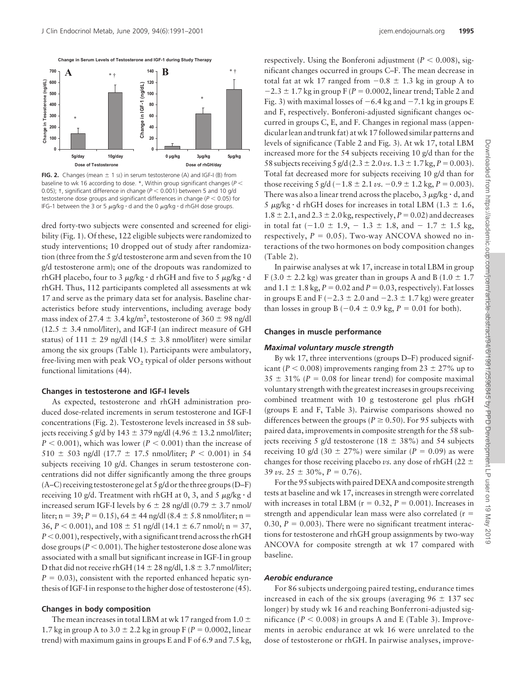

**FIG. 2.** Changes (mean  $\pm$  1 s $\varepsilon$ ) in serum testosterone (A) and IGF-I (B) from baseline to wk 16 according to dose. \*, Within group significant changes (P  $<$ 0.05);  $\dagger$ , significant difference in change ( $P$   $<$  0.001) between 5 and 10 g/d testosterone dose groups and significant differences in change (P < 0.05) for IFG-1 between the 3 or 5  $\mu$ g/kg  $\cdot$  d and the 0  $\mu$ g/kg  $\cdot$  d rhGH dose groups.

dred forty-two subjects were consented and screened for eligibility (Fig. 1). Of these, 122 eligible subjects were randomized to study interventions; 10 dropped out of study after randomization (three from the 5 g/d testosterone arm and seven from the 10 g/d testosterone arm); one of the dropouts was randomized to rhGH placebo, four to 3  $\mu$ g/kg  $\cdot$  d rhGH and five to 5  $\mu$ g/kg  $\cdot$  d rhGH. Thus, 112 participants completed all assessments at wk 17 and serve as the primary data set for analysis. Baseline characteristics before study interventions, including average body mass index of 27.4  $\pm$  3.4 kg/m<sup>2</sup>, testosterone of 360  $\pm$  98 ng/dl  $(12.5 \pm 3.4 \text{ nmol/liter})$ , and IGF-I (an indirect measure of GH status) of 111  $\pm$  29 ng/dl (14.5  $\pm$  3.8 nmol/liter) were similar among the six groups (Table 1). Participants were ambulatory, free-living men with peak  $VO<sub>2</sub>$  typical of older persons without functional limitations (44).

### **Changes in testosterone and IGF-I levels**

As expected, testosterone and rhGH administration produced dose-related increments in serum testosterone and IGF-I concentrations (Fig. 2). Testosterone levels increased in 58 subjects receiving 5 g/d by 143  $\pm$  379 ng/dl (4.96  $\pm$  13.2 nmol/liter;  $P < 0.001$ ), which was lower ( $P < 0.001$ ) than the increase of  $510 \pm 503$  ng/dl (17.7  $\pm$  17.5 nmol/liter;  $P < 0.001$ ) in 54 subjects receiving 10 g/d. Changes in serum testosterone concentrations did not differ significantly among the three groups (A–C) receiving testosterone gel at 5 g/d or the three groups (D–F) receiving 10 g/d. Treatment with rhGH at 0, 3, and 5  $\mu$ g/kg  $\cdot$  d increased serum IGF-I levels by  $6 \pm 28$  ng/dl (0.79  $\pm$  3.7 nmol/ liter;  $n = 39$ ;  $P = 0.15$ ),  $64 \pm 44$  ng/dl (8.4  $\pm$  5.8 nmol/liter; n =  $36, P < 0.001$ ), and  $108 \pm 51$  ng/dl (14.1  $\pm$  6.7 nmol/; n = 37,  $P < 0.001$ ), respectively, with a significant trend across the rhGH dose groups ( $P < 0.001$ ). The higher testosterone dose alone was associated with a small but significant increase in IGF-I in group D that did not receive rhGH ( $14 \pm 28$  ng/dl,  $1.8 \pm 3.7$  nmol/liter;  $P = 0.03$ ), consistent with the reported enhanced hepatic synthesis of IGF-I in response to the higher dose of testosterone (45).

### **Changes in body composition**

The mean increases in total LBM at wk 17 ranged from 1.0  $\pm$ 1.7 kg in group A to  $3.0 \pm 2.2$  kg in group F ( $P = 0.0002$ , linear trend) with maximum gains in groups E and F of 6.9 and 7.5 kg,

respectively. Using the Bonferoni adjustment ( $P < 0.008$ ), significant changes occurred in groups C–F. The mean decrease in total fat at wk 17 ranged from  $-0.8 \pm 1.3$  kg in group A to  $-2.3 \pm 1.7$  kg in group F ( $P = 0.0002$ , linear trend; Table 2 and Fig. 3) with maximal losses of  $-6.4$  kg and  $-7.1$  kg in groups E and F, respectively. Bonferoni-adjusted significant changes occurred in groups C, E, and F. Changes in regional mass (appendicular lean and trunk fat) at wk 17 followed similar patterns and levels of significance (Table 2 and Fig. 3). At wk 17, total LBM increased more for the 54 subjects receiving 10 g/d than for the 58 subjects receiving 5 g/d (2.3  $\pm$  2.0 *vs*. 1.3  $\pm$  1.7 kg, *P* = 0.003). Total fat decreased more for subjects receiving 10 g/d than for those receiving 5 g/d  $(-1.8 \pm 2.1 \text{ vs. } -0.9 \pm 1.2 \text{ kg}, P = 0.003)$ . There was also a linear trend across the placebo, 3  $\mu$ g/kg  $\cdot$  d, and 5  $\mu$ g/kg·d rhGH doses for increases in total LBM (1.3  $\pm$  1.6,  $1.8 \pm 2.1$ , and  $2.3 \pm 2.0$  kg, respectively,  $P = 0.02$ ) and decreases in total fat  $(-1.0 \pm 1.9, -1.3 \pm 1.8, \text{ and } -1.7 \pm 1.5 \text{ kg}$ , respectively,  $P = 0.05$ ). Two-way ANCOVA showed no interactions of the two hormones on body composition changes (Table 2).

In pairwise analyses at wk 17, increase in total LBM in group F (3.0  $\pm$  2.2 kg) was greater than in groups A and B (1.0  $\pm$  1.7 and  $1.1 \pm 1.8$  kg,  $P = 0.02$  and  $P = 0.03$ , respectively). Fat losses in groups E and F ( $-2.3 \pm 2.0$  and  $-2.3 \pm 1.7$  kg) were greater than losses in group B  $(-0.4 \pm 0.9 \text{ kg}, P = 0.01 \text{ for both}).$ 

### **Changes in muscle performance**

### *Maximal voluntary muscle strength*

By wk 17, three interventions (groups D–F) produced significant ( $P < 0.008$ ) improvements ranging from 23  $\pm$  27% up to  $35 \pm 31\%$  ( $P = 0.08$  for linear trend) for composite maximal voluntary strength with the greatest increases in groups receiving combined treatment with 10 g testosterone gel plus rhGH (groups E and F, Table 3). Pairwise comparisons showed no differences between the groups ( $P \ge 0.50$ ). For 95 subjects with paired data, improvements in composite strength for the 58 subjects receiving 5 g/d testosterone (18  $\pm$  38%) and 54 subjects receiving 10 g/d (30  $\pm$  27%) were similar (*P* = 0.09) as were changes for those receiving placebo *vs*. any dose of rhGH (22  $\pm$ 39 *vs.*  $25 \pm 30\%$ ,  $P = 0.76$ ).

For the 95 subjects with paired DEXA and composite strength tests at baseline and wk 17, increases in strength were correlated with increases in total LBM ( $r = 0.32$ ,  $P = 0.001$ ). Increases in strength and appendicular lean mass were also correlated (r 0.30,  $P = 0.003$ ). There were no significant treatment interactions for testosterone and rhGH group assignments by two-way ANCOVA for composite strength at wk 17 compared with baseline.

### *Aerobic endurance*

For 86 subjects undergoing paired testing, endurance times increased in each of the six groups (averaging  $96 \pm 137$  sec longer) by study wk 16 and reaching Bonferroni-adjusted significance ( $P < 0.008$ ) in groups A and E (Table 3). Improvements in aerobic endurance at wk 16 were unrelated to the dose of testosterone or rhGH. In pairwise analyses, improve-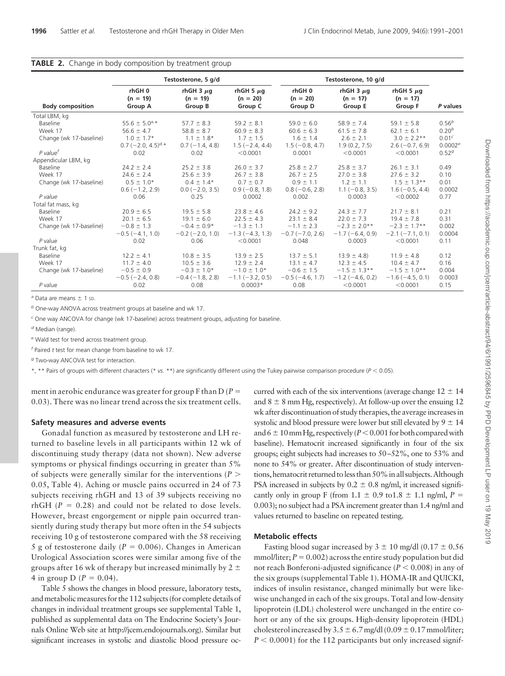|  |  | TABLE 2. Change in body composition by treatment group |  |
|--|--|--------------------------------------------------------|--|
|  |  |                                                        |  |

|                         | Testosterone, 5 g/d                                |                                         |                                         |                                       | Testosterone, 10 g/d                           |                                                |                     |  |  |
|-------------------------|----------------------------------------------------|-----------------------------------------|-----------------------------------------|---------------------------------------|------------------------------------------------|------------------------------------------------|---------------------|--|--|
| <b>Body composition</b> | rhGH0<br>$(n = 19)$<br>Group A                     | rhGH $3 \mu$ g<br>$(n = 19)$<br>Group B | rhGH 5 $\mu$ g<br>$(n = 20)$<br>Group C | rhGH0<br>$(n = 20)$<br><b>Group D</b> | rhGH $3 \mu$ g<br>$(n = 17)$<br><b>Group E</b> | rhGH 5 $\mu$ g<br>$(n = 17)$<br><b>Group F</b> | P values            |  |  |
| Total LBM, kg           |                                                    |                                         |                                         |                                       |                                                |                                                |                     |  |  |
| Baseline                | 55.6 $\pm$ 5.0 <sup>a</sup> , *                    | $57.7 \pm 8.3$                          | $59.2 \pm 8.1$                          | $59.0 \pm 6.0$                        | $58.9 \pm 7.4$                                 | 59.1 $\pm$ 5.8                                 | $0.56^{b}$          |  |  |
| Week 17                 | $56.6 \pm 4.7$                                     | $58.8 \pm 8.7$                          | $60.9 \pm 8.3$                          | $60.6 \pm 6.3$                        | $61.5 \pm 7.8$                                 | $62.1 \pm 6.1$                                 | $0.20^{b}$          |  |  |
| Change (wk 17-baseline) | $1.0 \pm 1.7*$                                     | $1.1 \pm 1.8*$                          | $1.7 \pm 1.5$                           | $1.6 \pm 1.4$                         | $2.6 \pm 2.1$                                  | $3.0 \pm 2.2**$                                | 0.01 <sup>c</sup>   |  |  |
|                         | $0.7$ (-2.0, 4.5) <sup><math>d, \star</math></sup> | $0.7(-1.4, 4.8)$                        | $1.5(-2.4, 4.4)$                        | $1.5(-0.8, 4.7)$                      | 1.9(0.2, 7.5)                                  | $2.6(-0.7, 6.9)$                               | 0.0002 <sup>e</sup> |  |  |
| P value <sup>f</sup>    | 0.02                                               | 0.02                                    | < 0.0001                                | 0.0001                                | < 0.0001                                       | < 0.0001                                       | 0.52 <sup>g</sup>   |  |  |
| Appendicular LBM, kg    |                                                    |                                         |                                         |                                       |                                                |                                                |                     |  |  |
| Baseline                | $24.2 \pm 2.4$                                     | $25.2 \pm 3.8$                          | $26.0 \pm 3.7$                          | $25.8 \pm 2.7$                        | $25.8 \pm 3.7$                                 | $26.1 \pm 3.1$                                 | 0.49                |  |  |
| Week 17                 | $24.6 \pm 2.4$                                     | $25.6 \pm 3.9$                          | $26.7 \pm 3.8$                          | $26.7 \pm 2.5$                        | $27.0 \pm 3.8$                                 | $27.6 \pm 3.2$                                 | 0.10                |  |  |
| Change (wk 17-baseline) | $0.5 \pm 1.0*$                                     | $0.4 \pm 1.4*$                          | $0.7 \pm 0.7$                           | $0.9 \pm 1.1$                         | $1.2 \pm 1.1$                                  | $1.5 \pm 1.3**$                                | 0.01                |  |  |
|                         | $0.6(-1.2, 2.9)$                                   | $0.0 (-2.0, 3.5)$                       | $0.9(-0.8, 1.8)$                        | $0.8(-0.6, 2.8)$                      | $1.1(-0.8, 3.5)$                               | $1.6(-0.5, 4.4)$                               | 0.0002              |  |  |
| P value                 | 0.06                                               | 0.25                                    | 0.0002                                  | 0.002                                 | 0.0003                                         | < 0.0002                                       | 0.77                |  |  |
| Total fat mass, kg      |                                                    |                                         |                                         |                                       |                                                |                                                |                     |  |  |
| Baseline                | $20.9 \pm 6.5$                                     | $19.5 \pm 5.8$                          | $23.8 \pm 4.6$                          | $24.2 \pm 9.2$                        | $24.3 \pm 7.7$                                 | $21.7 \pm 8.1$                                 | 0.21                |  |  |
| Week 17                 | $20.1 \pm 6.5$                                     | $19.1 \pm 6.0$                          | $22.5 \pm 4.3$                          | $23.1 \pm 8.4$                        | $22.0 \pm 7.3$                                 | $19.4 \pm 7.8$                                 | 0.31                |  |  |
| Change (wk 17-baseline) | $-0.8 \pm 1.3$                                     | $-0.4 \pm 0.9*$                         | $-1.3 \pm 1.1$                          | $-1.1 \pm 2.3$                        | $-2.3 \pm 2.0**$                               | $-2.3 \pm 1.7**$                               | 0.002               |  |  |
|                         | $-0.5(-4.1, 1.0)$                                  | $-0.2$ ( $-2.0$ , 1.0)                  | $-1.3(-4.3, 1.3)$                       | $-0.7$ ( $-7.0$ , 2.6)                | $-1.7(-6.4, 0.9)$                              | $-2.1(-7.1, 0.1)$                              | 0.0004              |  |  |
| P value                 | 0.02                                               | 0.06                                    | < 0.0001                                | 0.048                                 | 0.0003                                         | < 0.0001                                       | 0.11                |  |  |
| Trunk fat, kg           |                                                    |                                         |                                         |                                       |                                                |                                                |                     |  |  |
| Baseline                | $12.2 \pm 4.1$                                     | $10.8 \pm 3.5$                          | $13.9 \pm 2.5$                          | $13.7 \pm 5.1$                        | $13.9 \pm 4.8$                                 | $11.9 \pm 4.8$                                 | 0.12                |  |  |
| Week 17                 | $11.7 \pm 4.0$                                     | $10.5 \pm 3.6$                          | $12.9 \pm 2.4$                          | $13.1 \pm 4.7$                        | $12.3 \pm 4.5$                                 | $10.4 \pm 4.7$                                 | 0.16                |  |  |
| Change (wk 17-baseline) | $-0.5 \pm 0.9$                                     | $-0.3 \pm 1.0*$                         | $-1.0 \pm 1.0*$                         | $-0.6 \pm 1.5$                        | $-1.5 \pm 1.3$ **                              | $-1.5 \pm 1.0**$                               | 0.004               |  |  |
|                         | $-0.5$ ( $-2.4$ , 0.8)                             | $-0.4(-1.8, 2.8)$                       | $-1.1 (-3.2, 0.5)$                      | $-0.5(-4.6, 1.7)$                     | $-1.2$ (-4.6, 0.2)                             | $-1.6(-4.5, 0.1)$                              | 0.0003              |  |  |
| P value                 | 0.02                                               | 0.08                                    | $0.0003*$                               | 0.08                                  | < 0.0001                                       | < 0.0001                                       | 0.15                |  |  |

*a* Data are means  $\pm$  1 sp.

*<sup>b</sup>* One-way ANOVA across treatment groups at baseline and wk 17.

*<sup>c</sup>* One way ANCOVA for change (wk 17-baseline) across treatment groups, adjusting for baseline.

*<sup>d</sup>* Median (range).

*<sup>e</sup>* Wald test for trend across treatment group.

*<sup>f</sup>* Paired *t* test for mean change from baseline to wk 17.

*<sup>g</sup>* Two-way ANCOVA test for interaction.

\*, \*\* Pairs of groups with different characters (\* *vs.* \*\*) are significantly different using the Tukey pairwise comparison procedure (*P* - 0.05).

ment in aerobic endurance was greater for group F than D (*P* 0.03). There was no linear trend across the six treatment cells.

### **Safety measures and adverse events**

Gonadal function as measured by testosterone and LH returned to baseline levels in all participants within 12 wk of discontinuing study therapy (data not shown). New adverse symptoms or physical findings occurring in greater than 5% of subjects were generally similar for the interventions (*P* 0.05, Table 4). Aching or muscle pains occurred in 24 of 73 subjects receiving rhGH and 13 of 39 subjects receiving no rhGH  $(P = 0.28)$  and could not be related to dose levels. However, breast engorgement or nipple pain occurred transiently during study therapy but more often in the 54 subjects receiving 10 g of testosterone compared with the 58 receiving 5 g of testosterone daily ( $P = 0.006$ ). Changes in American Urological Association scores were similar among five of the groups after 16 wk of therapy but increased minimally by  $2 \pm$ 4 in group D ( $P = 0.04$ ).

Table 5 shows the changes in blood pressure, laboratory tests, and metabolic measures for the 112 subjects (for complete details of changes in individual treatment groups see supplemental Table 1, published as supplemental data on The Endocrine Society's Journals Online Web site at http://jcem.endojournals.org). Similar but significant increases in systolic and diastolic blood pressure occurred with each of the six interventions (average change  $12 \pm 14$ ) and  $8 \pm 8$  mm Hg, respectively). At follow-up over the ensuing 12 wk after discontinuation of study therapies, the average increases in systolic and blood pressure were lower but still elevated by  $9 \pm 14$ and 6  $\pm$  10 mm Hg, respectively (*P* < 0.001 for both compared with baseline). Hematocrit increased significantly in four of the six groups; eight subjects had increases to 50 –52%, one to 53% and none to 54% or greater. After discontinuation of study interventions, hematocrit returned to less than 50% in all subjects. Although PSA increased in subjects by  $0.2 \pm 0.8$  ng/ml, it increased significantly only in group F (from  $1.1 \pm 0.9$  to  $1.8 \pm 1.1$  ng/ml,  $P =$ 0.003); no subject had a PSA increment greater than 1.4 ng/ml and values returned to baseline on repeated testing.

# **Metabolic effects**

Fasting blood sugar increased by  $3 \pm 10$  mg/dl (0.17  $\pm$  0.56 mmol/liter;  $P = 0.002$ ) across the entire study population but did not reach Bonferoni-adjusted significance (*P* < 0.008) in any of the six groups (supplemental Table 1). HOMA-IR and QUICKI, indices of insulin resistance, changed minimally but were likewise unchanged in each of the six groups. Total and low-density lipoprotein (LDL) cholesterol were unchanged in the entire cohort or any of the six groups. High-density lipoprotein (HDL) cholesterol increased by  $3.5 \pm 6.7$  mg/dl (0.09  $\pm$  0.17 mmol/liter;  $P < 0.0001$ ) for the 112 participants but only increased signif-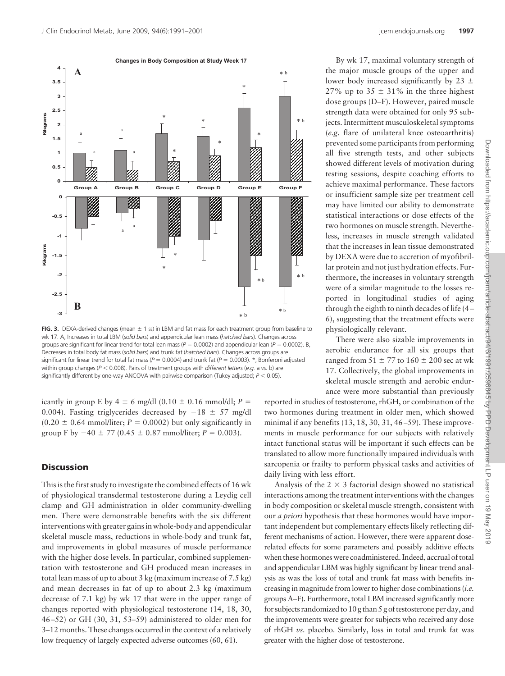



**FIG. 3.** DEXA-derived changes (mean  $\pm$  1 st) in LBM and fat mass for each treatment group from baseline to wk 17. A, Increases in total LBM (*solid bars*) and appendicular lean mass (*hatched bars*). Changes across groups are significant for linear trend for total lean mass ( $P = 0.0002$ ) and appendicular lean ( $P = 0.0002$ ). B, Decreases in total body fat mass (*solid bars*) and trunk fat (*hatched bars*). Changes across groups are significant for linear trend for total fat mass ( $P = 0.0004$ ) and trunk fat ( $P = 0.0003$ ). \*, Bonferoni adjusted within group changes ( $P < 0.008$ ). Pairs of treatment groups with *different letters* (e.g. a vs. b) are significantly different by one-way ANCOVA with pairwise comparison (Tukey adjusted;  $P < 0.05$ ).

icantly in group E by 4  $\pm$  6 mg/dl (0.10  $\pm$  0.16 mmol/dl; *P* = 0.004). Fasting triglycerides decreased by  $-18 \pm 57$  mg/dl  $(0.20 \pm 0.64 \text{ mmol/liter}; P = 0.0002)$  but only significantly in group F by  $-40 \pm 77$  (0.45  $\pm$  0.87 mmol/liter;  $P = 0.003$ ).

# **Discussion**

This is the first study to investigate the combined effects of 16 wk of physiological transdermal testosterone during a Leydig cell clamp and GH administration in older community-dwelling men. There were demonstrable benefits with the six different interventions with greater gains in whole-body and appendicular skeletal muscle mass, reductions in whole-body and trunk fat, and improvements in global measures of muscle performance with the higher dose levels. In particular, combined supplementation with testosterone and GH produced mean increases in total lean mass of up to about 3 kg (maximum increase of 7.5 kg) and mean decreases in fat of up to about 2.3 kg (maximum decrease of 7.1 kg) by wk 17 that were in the upper range of changes reported with physiological testosterone (14, 18, 30, 46 –52) or GH (30, 31, 53–59) administered to older men for 3–12 months. These changes occurred in the context of a relatively low frequency of largely expected adverse outcomes (60, 61).

By wk 17, maximal voluntary strength of the major muscle groups of the upper and lower body increased significantly by 23  $\pm$ 27% up to 35  $\pm$  31% in the three highest dose groups (D–F). However, paired muscle strength data were obtained for only 95 subjects. Intermittent musculoskeletal symptoms (*e.g.* flare of unilateral knee osteoarthritis) prevented some participants from performing all five strength tests, and other subjects showed different levels of motivation during testing sessions, despite coaching efforts to achieve maximal performance. These factors or insufficient sample size per treatment cell may have limited our ability to demonstrate statistical interactions or dose effects of the two hormones on muscle strength. Nevertheless, increases in muscle strength validated that the increases in lean tissue demonstrated by DEXA were due to accretion of myofibrillar protein and not just hydration effects. Furthermore, the increases in voluntary strength were of a similar magnitude to the losses reported in longitudinal studies of aging through the eighth to ninth decades of life (4 – 6), suggesting that the treatment effects were physiologically relevant.

There were also sizable improvements in aerobic endurance for all six groups that ranged from  $51 \pm 77$  to  $160 \pm 200$  sec at wk 17. Collectively, the global improvements in skeletal muscle strength and aerobic endurance were more substantial than previously

reported in studies of testosterone, rhGH, or combination of the two hormones during treatment in older men, which showed minimal if any benefits (13, 18, 30, 31, 46–59). These improvements in muscle performance for our subjects with relatively intact functional status will be important if such effects can be translated to allow more functionally impaired individuals with sarcopenia or frailty to perform physical tasks and activities of daily living with less effort.

Analysis of the  $2 \times 3$  factorial design showed no statistical interactions among the treatment interventions with the changes in body composition or skeletal muscle strength, consistent with our *a priori* hypothesis that these hormones would have important independent but complementary effects likely reflecting different mechanisms of action. However, there were apparent doserelated effects for some parameters and possibly additive effects when these hormones were coadministered. Indeed, accrual of total and appendicular LBM was highly significant by linear trend analysis as was the loss of total and trunk fat mass with benefits increasing in magnitude from lower to higher dose combinations (*i.e.* groups A–F). Furthermore, total LBM increased significantly more for subjects randomized to 10 g than 5 g of testosterone per day, and the improvements were greater for subjects who received any dose of rhGH *vs.* placebo. Similarly, loss in total and trunk fat was greater with the higher dose of testosterone.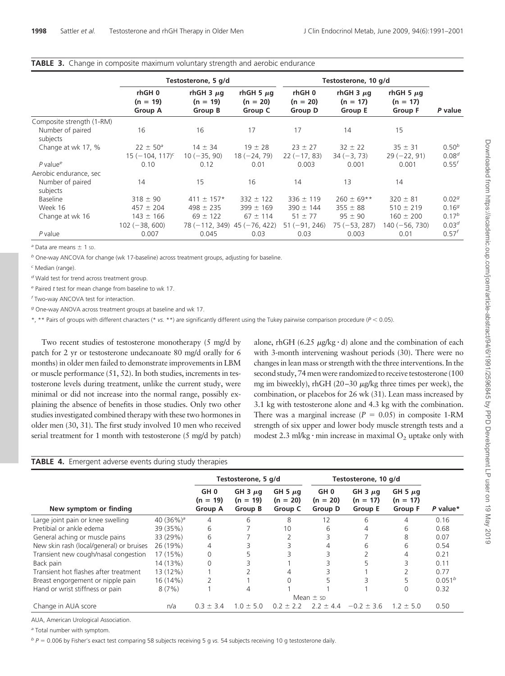|                              |                                 | Testosterone, 5 g/d                     |                                         | Testosterone, 10 g/d           |                                         |                                         |                   |
|------------------------------|---------------------------------|-----------------------------------------|-----------------------------------------|--------------------------------|-----------------------------------------|-----------------------------------------|-------------------|
|                              | rhGH 0<br>$(n = 19)$<br>Group A | rhGH 3 $\mu$ g<br>$(n = 19)$<br>Group B | rhGH 5 $\mu$ g<br>$(n = 20)$<br>Group C | rhGH0<br>$(n = 20)$<br>Group D | rhGH $3 \mu$ g<br>$(n = 17)$<br>Group E | rhGH 5 $\mu$ g<br>$(n = 17)$<br>Group F | P value           |
| Composite strength (1-RM)    |                                 |                                         |                                         |                                |                                         |                                         |                   |
| Number of paired<br>subjects | 16                              | 16                                      | 17                                      | 17                             | 14                                      | 15                                      |                   |
| Change at wk 17, %           | $22 \pm 50^{\circ}$             | $14 \pm 34$                             | $19 \pm 28$                             | $23 \pm 27$                    | $32 \pm 22$                             | $35 \pm 31$                             | $0.50^{b}$        |
|                              | $15(-104, 117)^c$               | $10 (-35, 90)$                          | $18(-24, 79)$                           | $22(-17, 83)$                  | $34 (-3, 73)$                           | $29(-22, 91)$                           | $0.08^{d}$        |
| $P$ value <sup>e</sup>       | 0.10                            | 0.12                                    | 0.01                                    | 0.003                          | 0.001                                   | 0.001                                   | $0.55^{f}$        |
| Aerobic endurance, sec       |                                 |                                         |                                         |                                |                                         |                                         |                   |
| Number of paired<br>subjects | 14                              | 15                                      | 16                                      | 14                             | 13                                      | 14                                      |                   |
| Baseline                     | $318 \pm 90$                    | $411 \pm 157*$                          | $332 \pm 122$                           | $336 \pm 119$                  | $260 \pm 69**$                          | $320 \pm 81$                            | 0.02 <sup>g</sup> |
| Week 16                      | $457 \pm 204$                   | $498 \pm 235$                           | $399 \pm 169$                           | $390 \pm 144$                  | $355 \pm 88$                            | $510 \pm 219$                           | $0.16^{g}$        |
| Change at wk 16              | $143 \pm 166$                   | $69 \pm 122$                            | $67 \pm 114$                            | $51 \pm 77$                    | $95 \pm 90$                             | $160 \pm 200$                           | $0.17^{b}$        |
|                              | $102 (-38, 600)$                | $78(-112, 349)$ 45 (-76, 422)           |                                         | $51 (-91, 246)$                | $75 (-53, 287)$                         | 140 (-56, 730)                          | 0.03 <sup>d</sup> |
| P value                      | 0.007                           | 0.045                                   | 0.03                                    | 0.03                           | 0.003                                   | 0.01                                    | $0.57^{f}$        |

### **TABLE 3.** Change in composite maximum voluntary strength and aerobic endurance

 $a$  Data are means  $\pm$  1 sp.

*<sup>b</sup>* One-way ANCOVA for change (wk 17-baseline) across treatment groups, adjusting for baseline.

*<sup>c</sup>* Median (range).

*<sup>d</sup>* Wald test for trend across treatment group.

*<sup>e</sup>* Paired *t* test for mean change from baseline to wk 17.

*<sup>f</sup>* Two-way ANCOVA test for interaction.

*<sup>g</sup>* One-way ANOVA across treatment groups at baseline and wk 17.

\*, \*\* Pairs of groups with different characters (\* *vs.* \*\*) are significantly different using the Tukey pairwise comparison procedure (*P* - 0.05).

Two recent studies of testosterone monotherapy (5 mg/d by patch for 2 yr or testosterone undecanoate 80 mg/d orally for 6 months) in older men failed to demonstrate improvements in LBM or muscle performance (51, 52). In both studies, increments in testosterone levels during treatment, unlike the current study, were minimal or did not increase into the normal range, possibly explaining the absence of benefits in those studies. Only two other studies investigated combined therapy with these two hormones in older men (30, 31). The first study involved 10 men who received serial treatment for 1 month with testosterone (5 mg/d by patch)

alone, rhGH (6.25  $\mu$ g/kg·d) alone and the combination of each with 3-month intervening washout periods (30). There were no changes in lean mass or strength with the three interventions. In the second study, 74 men were randomized to receive testosterone (100) mg im biweekly), rhGH (20–30 µg/kg three times per week), the combination, or placebos for 26 wk (31). Lean mass increased by 3.1 kg with testosterone alone and 4.3 kg with the combination. There was a marginal increase  $(P = 0.05)$  in composite 1-RM strength of six upper and lower body muscle strength tests and a modest 2.3 ml/kg $\cdot$  min increase in maximal  $O_2$  uptake only with

| <b>TABLE 4.</b> Emergent adverse events during study therapies |  |  |  |
|----------------------------------------------------------------|--|--|--|
|                                                                |  |  |  |

|                                          |               |                                                 | Testosterone, 5 g/d                   |                                       | Testosterone, 10 g/d                            |                                       |                                              |                    |
|------------------------------------------|---------------|-------------------------------------------------|---------------------------------------|---------------------------------------|-------------------------------------------------|---------------------------------------|----------------------------------------------|--------------------|
| New symptom or finding                   |               | GH <sub>0</sub><br>$(n = 19)$<br><b>Group A</b> | GH $3 \mu q$<br>$(n = 19)$<br>Group B | GH 5 $\mu$ g<br>$(n = 20)$<br>Group C | GH <sub>0</sub><br>$(n = 20)$<br><b>Group D</b> | GH $3 \mu q$<br>$(n = 17)$<br>Group E | GH 5 $\mu$ g<br>$(n = 17)$<br><b>Group F</b> | P value*           |
| Large joint pain or knee swelling        | 40 $(36\%)^a$ | 4                                               | 6                                     | 8                                     | 12                                              | 6                                     | 4                                            | 0.16               |
| Pretibial or ankle edema                 | 39 (35%)      | 6                                               |                                       | 10                                    | 6                                               | 4                                     | 6                                            | 0.68               |
| General aching or muscle pains           | 33 (29%)      | 6                                               |                                       |                                       |                                                 |                                       | 8                                            | 0.07               |
| New skin rash (local/general) or bruises | 26 (19%)      | 4                                               |                                       |                                       |                                                 | 6                                     | 6                                            | 0.54               |
| Transient new cough/nasal congestion     | 17 (15%)      | 0                                               |                                       |                                       |                                                 |                                       | 4                                            | 0.21               |
| Back pain                                | 14 (13%)      | 0                                               |                                       |                                       |                                                 |                                       |                                              | 0.11               |
| Transient hot flashes after treatment    | 13 (12%)      |                                                 |                                       | 4                                     |                                                 |                                       |                                              | 0.77               |
| Breast engorgement or nipple pain        | 16 (14%)      |                                                 |                                       |                                       |                                                 |                                       |                                              | 0.051 <sup>b</sup> |
| Hand or wrist stiffness or pain          | 8(7%)         |                                                 |                                       |                                       |                                                 |                                       | $\Omega$                                     | 0.32               |
|                                          |               |                                                 |                                       |                                       | Mean $\pm$ sp.                                  |                                       |                                              |                    |
| Change in AUA score                      | n/a           | $0.3 \pm 3.4$                                   | $10 + 50$                             | $02 + 22$                             | $72 \pm 4.4$                                    | $-0.2 + 3.6$                          | $12 + 50$                                    | 0.50               |

AUA, American Urological Association.

*<sup>a</sup>* Total number with symptom.

*<sup>b</sup> P* 0.006 by Fisher's exact test comparing 58 subjects receiving 5 g *vs.* 54 subjects receiving 10 g testosterone daily.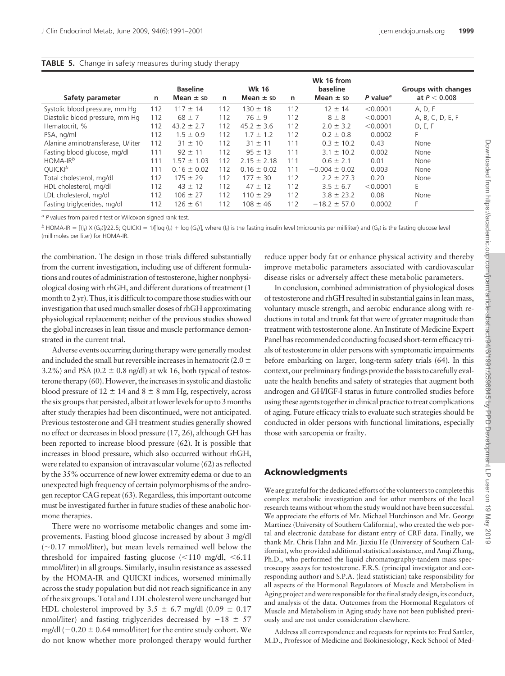### **TABLE 5.** Change in safety measures during study therapy

|                                   |     | <b>Baseline</b> |     | <b>Wk 16</b>    |     | Wk 16 from<br>baseline |                      | Groups with changes |
|-----------------------------------|-----|-----------------|-----|-----------------|-----|------------------------|----------------------|---------------------|
| Safety parameter                  | n   | Mean $\pm$ sp   | n   | Mean $\pm$ sp   | n   | Mean $\pm$ sp          | P value <sup>a</sup> | at $P < 0.008$      |
| Systolic blood pressure, mm Hq    | 112 | $117 \pm 14$    | 112 | $130 \pm 18$    | 112 | $12 \pm 14$            | < 0.0001             | A, D, F             |
| Diastolic blood pressure, mm Hq   | 112 | $68 \pm 7$      | 112 | $76 \pm 9$      | 112 | $8 \pm 8$              | < 0.0001             | A, B, C, D, E, F    |
| Hematocrit, %                     | 112 | $43.2 \pm 2.7$  | 112 | $45.2 \pm 3.6$  | 112 | $2.0 \pm 3.2$          | < 0.0001             | D, E, F             |
| PSA, ng/ml                        | 112 | $1.5 \pm 0.9$   | 112 | $1.7 \pm 1.2$   | 112 | $0.2 \pm 0.8$          | 0.0002               | F.                  |
| Alanine aminotransferase, U/liter | 112 | $31 \pm 10$     | 112 | $31 \pm 11$     | 111 | $0.3 \pm 10.2$         | 0.43                 | None                |
| Fasting blood glucose, mg/dl      | 111 | $92 \pm 11$     | 112 | $95 \pm 13$     | 111 | $3.1 \pm 10.2$         | 0.002                | None                |
| $HOMA-IRb$                        | 111 | $1.57 \pm 1.03$ | 112 | $2.15 \pm 2.18$ | 111 | $0.6 \pm 2.1$          | 0.01                 | None                |
| OUICKI <sup>b</sup>               | 111 | $0.16 \pm 0.02$ | 112 | $0.16 \pm 0.02$ | 111 | $-0.004 \pm 0.02$      | 0.003                | None                |
| Total cholesterol, mg/dl          | 112 | $175 \pm 29$    | 112 | $177 \pm 30$    | 112 | $2.2 \pm 27.3$         | 0.20                 | None                |
| HDL cholesterol, mg/dl            | 112 | $43 \pm 12$     | 112 | $47 \pm 12$     | 112 | $3.5 \pm 6.7$          | < 0.0001             | E                   |
| LDL cholesterol, mg/dl            | 112 | $106 \pm 27$    | 112 | $110 \pm 29$    | 112 | $3.8 \pm 23.2$         | 0.08                 | None                |
| Fasting triglycerides, mg/dl      | 112 | $126 \pm 61$    | 112 | $108 \pm 46$    | 112 | $-18.2 \pm 57.0$       | 0.0002               | F                   |

*<sup>a</sup> P* values from paired *t* test or Wilcoxon signed rank test.

*b* HOMA-IR =  $[(l_i) \times (G_i)/22.5;$  QUICKI = 1/[log ( $l_i$ ) + log ( $G_i$ )], where ( $l_i$ ) is the fasting insulin level (microunits per milliliter) and ( $G_i$ ) is the fasting glucose level (millimoles per liter) for HOMA-IR.

the combination. The design in those trials differed substantially from the current investigation, including use of different formulations and routes of administration of testosterone, higher nonphysiological dosing with rhGH, and different durations of treatment (1 month to 2 yr). Thus, it is difficult to compare those studies with our investigation that usedmuch smaller doses of rhGH approximating physiological replacement; neither of the previous studies showed the global increases in lean tissue and muscle performance demonstrated in the current trial.

Adverse events occurring during therapy were generally modest and included the small but reversible increases in hematocrit (2.0  $\pm$ 3.2%) and PSA (0.2  $\pm$  0.8 ng/dl) at wk 16, both typical of testosterone therapy (60). However, the increases in systolic and diastolic blood pressure of  $12 \pm 14$  and  $8 \pm 8$  mm Hg, respectively, across the six groups that persisted, albeit at lower levels for up to 3 months after study therapies had been discontinued, were not anticipated. Previous testosterone and GH treatment studies generally showed no effect or decreases in blood pressure (17, 26), although GH has been reported to increase blood pressure (62). It is possible that increases in blood pressure, which also occurred without rhGH, were related to expansion of intravascular volume (62) as reflected by the 35% occurrence of new lower extremity edema or due to an unexpected high frequency of certain polymorphisms of the androgen receptor CAG repeat (63). Regardless, this important outcome must be investigated further in future studies of these anabolic hormone therapies.

There were no worrisome metabolic changes and some improvements. Fasting blood glucose increased by about 3 mg/dl ( 0.17 mmol/liter), but mean levels remained well below the threshold for impaired fasting glucose  $\langle$  <110 mg/dl, <6.11 mmol/liter) in all groups. Similarly, insulin resistance as assessed by the HOMA-IR and QUICKI indices, worsened minimally across the study population but did not reach significance in any of the six groups. Total and LDL cholesterol were unchanged but HDL cholesterol improved by 3.5  $\pm$  6.7 mg/dl (0.09  $\pm$  0.17 nmol/liter) and fasting triglycerides decreased by  $-18 \pm 57$ mg/dl ( $-0.20 \pm 0.64$  mmol/liter) for the entire study cohort. We do not know whether more prolonged therapy would further reduce upper body fat or enhance physical activity and thereby improve metabolic parameters associated with cardiovascular disease risks or adversely affect these metabolic parameters.

In conclusion, combined administration of physiological doses of testosterone and rhGH resulted in substantial gains in lean mass, voluntary muscle strength, and aerobic endurance along with reductions in total and trunk fat that were of greater magnitude than treatment with testosterone alone. An Institute of Medicine Expert Panel has recommended conducting focused short-term efficacy trials of testosterone in older persons with symptomatic impairments before embarking on larger, long-term safety trials (64). In this context, our preliminary findings provide the basis to carefully evaluate the health benefits and safety of strategies that augment both androgen and GH/IGF-I status in future controlled studies before using these agents together in clinical practice to treat complications of aging. Future efficacy trials to evaluate such strategies should be conducted in older persons with functional limitations, especially those with sarcopenia or frailty.

# **Acknowledgments**

We are grateful for the dedicated efforts of the volunteers to complete this complex metabolic investigation and for other members of the local research teams without whom the study would not have been successful. We appreciate the efforts of Mr. Michael Hutchinson and Mr. George Martinez (University of Southern California), who created the web portal and electronic database for distant entry of CRF data. Finally, we thank Mr. Chris Hahn and Mr. Jiaxiu He (University of Southern California), who provided additional statistical assistance, and Anqi Zhang, Ph.D., who performed the liquid chromatography-tandem mass spectroscopy assays for testosterone. F.R.S. (principal investigator and corresponding author) and S.P.A. (lead statistician) take responsibility for all aspects of the Hormonal Regulators of Muscle and Metabolism in Aging project and were responsible for the final study design, its conduct, and analysis of the data. Outcomes from the Hormonal Regulators of Muscle and Metabolism in Aging study have not been published previously and are not under consideration elsewhere.

Address all correspondence and requests for reprints to: Fred Sattler, M.D., Professor of Medicine and Biokinesiology, Keck School of Med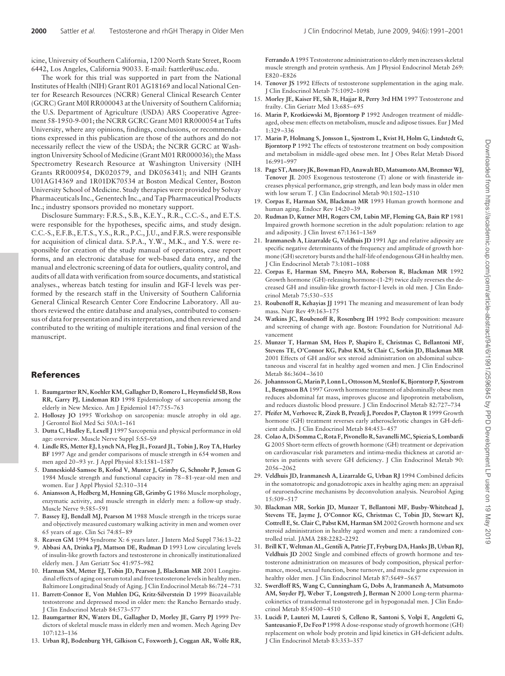icine, University of Southern California, 1200 North State Street, Room 6442, Los Angeles, California 90033. E-mail: fsattler@usc.edu.

The work for this trial was supported in part from the National Institutes of Health (NIH) Grant R01 AG18169 and local National Center for Research Resources (NCRR) General Clinical Research Center (GCRC) Grant M0I RR000043 at the University of Southern California; the U.S. Department of Agriculture (USDA) ARS Cooperative Agreement 58-1950-9-001; the NCRR GCRC Grant M01 RR000054 at Tufts University, where any opinions, findings, conclusions, or recommendations expressed in this publication are those of the authors and do not necessarily reflect the view of the USDA; the NCRR GCRC at Washington University School of Medicine (Grant M01 RR000036); the Mass Spectrometry Research Resource at Washington University (NIH Grants RR000954, DK020579, and DK056341); and NIH Grants U01AG14369 and 1R01DK70534 at Boston Medical Center, Boston University School of Medicine. Study therapies were provided by Solvay Pharmaceuticals Inc., Genentech Inc., and Tap Pharmaceutical Products Inc.; industry sponsors provided no monetary support.

Disclosure Summary: F.R.S., S.B., K.E.Y., R.R., C.C.-S., and E.T.S. were responsible for the hypotheses, specific aims, and study design. C.C.-S., E.F.B., E.T.S., Y.S., R.R., P.C., J.U., and F.R.S. were responsible for acquisition of clinical data. S.P.A., Y.W., M.K., and Y.S. were responsible for creation of the study manual of operations, case report forms, and an electronic database for web-based data entry, and the manual and electronic screening of data for outliers, quality control, and audits of all data with verification from source documents, and statistical analyses., whereas batch testing for insulin and IGF-I levels was performed by the research staff in the University of Southern California General Clinical Research Center Core Endocrine Laboratory. All authors reviewed the entire database and analyses, contributed to consensus of data for presentation and its interpretation, and then reviewed and contributed to the writing of multiple iterations and final version of the manuscript.

### **References**

- 1. **Baumgartner RN, Koehler KM, Gallagher D, Romero L, Heymsfield SB, Ross RR, Garry PJ, Lindeman RD** 1998 Epidemiology of sarcopenia among the elderly in New Mexico. Am J Epidemiol 147:755–763
- 2. **Holloszy JO** 1995 Workshop on sarcopenia: muscle atrophy in old age. J Gerontol Biol Med Sci 50A:1–161
- 3. **Dutta C, Hadley E, Lexell J** 1997 Sarcopenia and physical performance in old age: overview. Muscle Nerve Suppl 5:S5–S9
- 4. **Lindle RS, Metter EJ, Lynch NA, Fleg JL, Fozard JL, Tobin J, Roy TA, Hurley BF** 1997 Age and gender comparisons of muscle strength in 654 women and men aged 20 –93 yr. J Appl Physiol 83:1581–1587
- 5. **Danneskiold-Samsoe B, Kofod V, Munter J, Grimby G, Schnohr P, Jensen G** 1984 Muscle strength and functional capacity in 78 – 81-year-old men and women. Eur J Appl Physiol 52:310 –314
- 6. **Aniansson A, Hedberg M, Henning GB, Grimby G** 1986 Muscle morphology, enzymatic activity, and muscle strength in elderly men: a follow-up study. Muscle Nerve 9:585–591
- 7. **Bassey EJ, Bendall MJ, Pearson M** 1988 Muscle strength in the triceps surae and objectively measured customary walking activity in men and women over 65 years of age. Clin Sci 74:85– 89
- 8. **Reaven GM** 1994 Syndrome X: 6 years later. J Intern Med Suppl 736:13–22
- 9. **Abbasi AA, Drinka PJ, Mattson DE, Rudman D** 1993 Low circulating levels of insulin-like growth factors and testosterone in chronically institutionalized elderly men. J Am Geriatr Soc 41:975–982
- 10. **Harman SM, Metter EJ, Tobin JD, Pearson J, Blackman MR** 2001 Longitudinal effects of aging on serum total and free testosterone levels in healthy men. Baltimore Longitudinal Study of Aging. J Clin Endocrinol Metab 86:724 –731
- 11. **Barrett-Connor E, Von Muhlen DG, Kritz-Silverstein D** 1999 Bioavailable testosterone and depressed mood in older men: the Rancho Bernardo study. J Clin Endocrinol Metab 84:573–577
- 12. **Baumgartner RN, Waters DL, Gallagher D, Morley JE, Garry PJ** 1999 Predictors of skeletal muscle mass in elderly men and women. Mech Ageing Dev 107:123–136
- 13. **Urban RJ, Bodenburg YH, Gilkison C, Foxworth J, Coggan AR, Wolfe RR,**

**Ferrando A** 1995 Testosterone administration to elderly men increases skeletal muscle strength and protein synthesis. Am J Physiol Endocrinol Metab 269: E820 –E826

- 14. **Tenover JS** 1992 Effects of testosterone supplementation in the aging male. J Clin Endocrinol Metab 75:1092–1098
- 15. **Morley JE, Kaiser FE, Sih R, Hajjar R, Perry 3rd HM** 1997 Testosterone and frailty. Clin Geriatr Med 13:685-695
- 16. **Marin P, Krotkiewski M, Bjorntorp P** 1992 Androgen treatment of middleaged, obese men: effects on metabolism, muscle and adipose tissues. Eur J Med 1:329 –336
- 17. **Marin P, Holmang S, Jonsson L, Sjostrom L, Kvist H, Holm G, Lindstedt G, Bjorntorp P** 1992 The effects of testosterone treatment on body composition and metabolism in middle-aged obese men. Int J Obes Relat Metab Disord 16:991–997
- 18. **Page ST, Amory JK, Bowman FD, Anawalt BD,Matsumoto AM, BremnerWJ, Tenover JL** 2005 Exogenous testosterone (T) alone or with finasteride increases physical performance, grip strength, and lean body mass in older men with low serum T. J Clin Endocrinol Metab 90:1502–1510
- 19. **Corpas E, Harman SM, Blackman MR** 1993 Human growth hormone and human aging. Endocr Rev 14:20-39
- 20. **Rudman D, Kutner MH, Rogers CM, Lubin MF, Fleming GA, Bain RP** 1981 Impaired growth hormone secretion in the adult population: relation to age and adiposity. J Clin Invest 67:1361–1369
- 21. **Iranmanesh A, Lizarralde G, Veldhuis JD** 1991 Age and relative adiposity are specific negative determinants of the frequency and amplitude of growth hormone (GH) secretory bursts and the half-life of endogenous GHin healthy men. J Clin Endocrinol Metab 73:1081–1088
- 22. **Corpas E, Harman SM, Pineyro MA, Roberson R, Blackman MR** 1992 Growth hormone (GH)-releasing hormone-(1-29) twice daily reverses the decreased GH and insulin-like growth factor-I levels in old men. J Clin Endocrinol Metab 75:530 –535
- 23. **Roubenoff R, Kehayias JJ** 1991 The meaning and measurement of lean body mass. Nutr Rev 49:163–175
- 24. **Watkins JC, Roubenoff R, Rosenberg IH** 1992 Body composition: measure and screening of change with age. Boston: Foundation for Nutritional Advancement
- 25. **Munzer T, Harman SM, Hees P, Shapiro E, Christmas C, Bellantoni MF, Stevens TE, O'Connor KG, Pabst KM, St Clair C, Sorkin JD, Blackman MR** 2001 Effects of GH and/or sex steroid administration on abdominal subcutaneous and visceral fat in healthy aged women and men. J Clin Endocrinol Metab 86:3604 –3610
- 26. **Johannsson G,Marin P, Lonn L, OttossonM, Stenlof K, Bjorntorp P, Sjostrom L, Bengtsson BA** 1997 Growth hormone treatment of abdominally obese men reduces abdominal fat mass, improves glucose and lipoprotein metabolism, and reduces diastolic blood pressure. J Clin Endocrinol Metab 82:727–734
- 27. **Pfeifer M, Verhovec R, Zizek B, Prezelj J, Poredos P, Clayton R** 1999 Growth hormone (GH) treatment reverses early atherosclerotic changes in GH-deficient adults. J Clin Endocrinol Metab 84:453– 457
- 28. **Colao A, Di Somma C, Rota F, Pivonello R, SavanelliMC, Spiezia S, Lombardi G** 2005 Short-term effects of growth hormone (GH) treatment or deprivation on cardiovascular risk parameters and intima-media thickness at carotid arteries in patients with severe GH deficiency. J Clin Endocrinol Metab 90: 2056 –2062
- 29. **Veldhuis JD, Iranmanesh A, Lizarralde G, Urban RJ** 1994 Combined deficits in the somatotropic and gonadotropic axes in healthy aging men: an appraisal of neuroendocrine mechanisms by deconvolution analysis. Neurobiol Aging 15:509 –517
- 30. **Blackman MR, Sorkin JD, Munzer T, Bellantoni MF, Busby-Whitehead J, Stevens TE, Jayme J, O'Connor KG, Christmas C, Tobin JD, Stewart KJ, Cottrell E, St. Clair C, Pabst KM, Harman SM** 2002 Growth hormone and sex steroid administration in healthy aged women and men: a randomized controlled trial. JAMA 288:2282–2292
- 31. **Brill KT, Weltman AL, Gentili A, Patrie JT, Fryburg DA, Hanks JB, Urban RJ, Veldhuis JD** 2002 Single and combined effects of growth hormone and testosterone administration on measures of body composition, physical performance, mood, sexual function, bone turnover, and muscle gene expression in healthy older men. J Clin Endocrinol Metab 87:5649 –5657
- 32. **Swerdloff RS, Wang C, Cunningham G, Dobs A, Iranmanesh A, Matsumoto AM, Snyder PJ, Weber T, Longstreth J, Berman N** 2000 Long-term pharmacokinetics of transdermal testosterone gel in hypogonadal men. J Clin Endocrinol Metab 85:4500 – 4510
- 33. **Lucidi P, Lauteri M, Laureti S, Celleno R, Santoni S, Volpi E, Angeletti G, Santeusanio F, De Feo P** 1998 A dose-response study of growth hormone (GH) replacement on whole body protein and lipid kinetics in GH-deficient adults. J Clin Endocrinol Metab 83:353–357